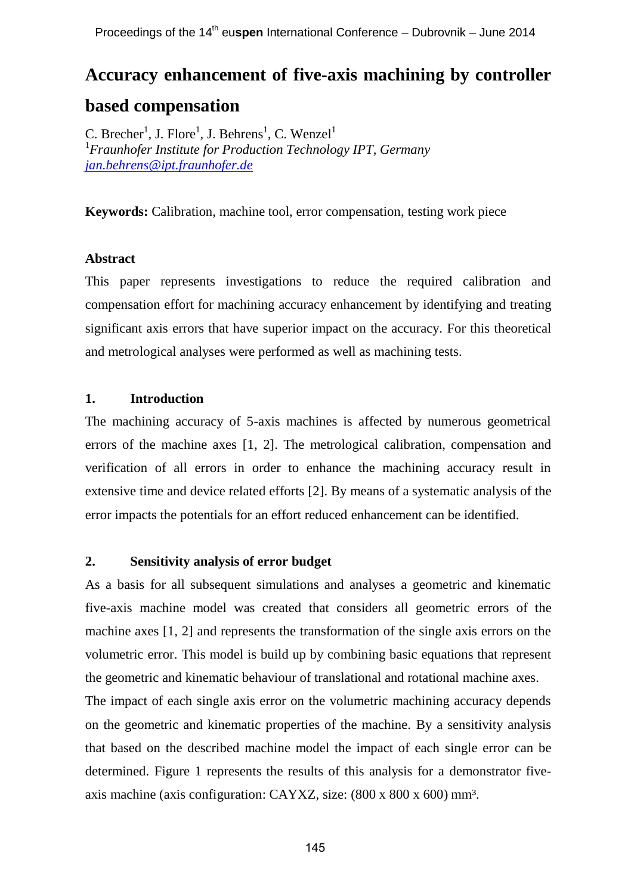# **Accuracy enhancement of five-axis machining by controller based compensation**

C. Brecher<sup>1</sup>, J. Flore<sup>1</sup>, J. Behrens<sup>1</sup>, C. Wenzel<sup>1</sup> <sup>1</sup>*Fraunhofer Institute for Production Technology IPT, Germany [jan.behrens@ipt.fraunhofer.de](mailto:jan.behrens@ipt.fraunhofer.de)*

**Keywords:** Calibration, machine tool, error compensation, testing work piece

# **Abstract**

This paper represents investigations to reduce the required calibration and compensation effort for machining accuracy enhancement by identifying and treating significant axis errors that have superior impact on the accuracy. For this theoretical and metrological analyses were performed as well as machining tests.

## **1. Introduction**

The machining accuracy of 5-axis machines is affected by numerous geometrical errors of the machine axes [1, 2]. The metrological calibration, compensation and verification of all errors in order to enhance the machining accuracy result in extensive time and device related efforts [2]. By means of a systematic analysis of the error impacts the potentials for an effort reduced enhancement can be identified.

#### **2. Sensitivity analysis of error budget**

As a basis for all subsequent simulations and analyses a geometric and kinematic five-axis machine model was created that considers all geometric errors of the machine axes [1, 2] and represents the transformation of the single axis errors on the volumetric error. This model is build up by combining basic equations that represent the geometric and kinematic behaviour of translational and rotational machine axes.

The impact of each single axis error on the volumetric machining accuracy depends on the geometric and kinematic properties of the machine. By a sensitivity analysis that based on the described machine model the impact of each single error can be determined. Figure 1 represents the results of this analysis for a demonstrator fiveaxis machine (axis configuration: CAYXZ, size: (800 x 800 x 600) mm³.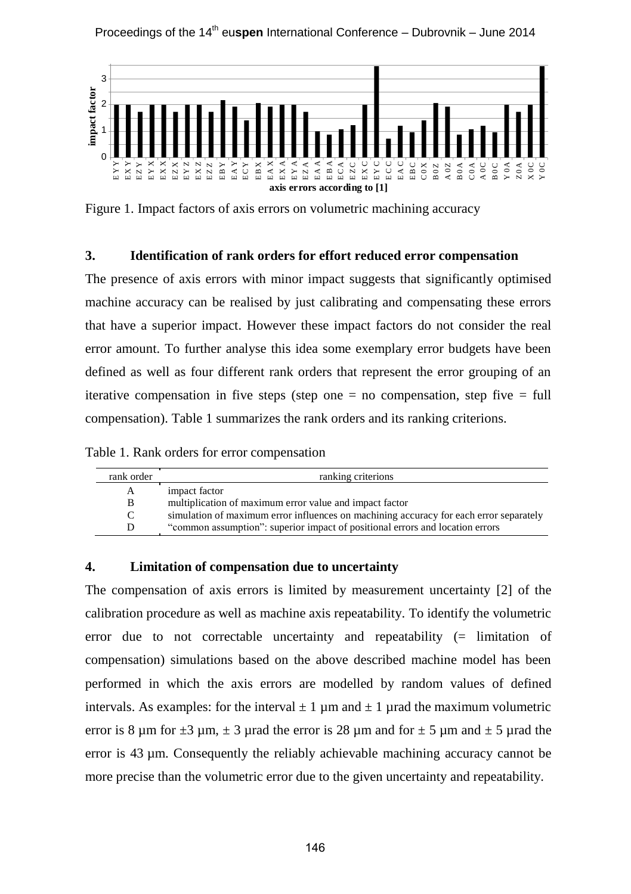

Figure 1. Impact factors of axis errors on volumetric machining accuracy

### **3. Identification of rank orders for effort reduced error compensation**

The presence of axis errors with minor impact suggests that significantly optimised machine accuracy can be realised by just calibrating and compensating these errors that have a superior impact. However these impact factors do not consider the real error amount. To further analyse this idea some exemplary error budgets have been defined as well as four different rank orders that represent the error grouping of an iterative compensation in five steps (step one  $=$  no compensation, step five  $=$  full compensation). Table 1 summarizes the rank orders and its ranking criterions.

Table 1. Rank orders for error compensation

| rank order | ranking criterions                                                                     |
|------------|----------------------------------------------------------------------------------------|
| A          | impact factor                                                                          |
| B          | multiplication of maximum error value and impact factor                                |
| C          | simulation of maximum error influences on machining accuracy for each error separately |
| D          | "common assumption": superior impact of positional errors and location errors          |

#### **4. Limitation of compensation due to uncertainty**

The compensation of axis errors is limited by measurement uncertainty [2] of the calibration procedure as well as machine axis repeatability. To identify the volumetric error due to not correctable uncertainty and repeatability (= limitation of compensation) simulations based on the above described machine model has been performed in which the axis errors are modelled by random values of defined intervals. As examples: for the interval  $\pm 1 \mu$ m and  $\pm 1 \mu$ rad the maximum volumetric error is 8 µm for  $\pm 3$  µm,  $\pm 3$  µrad the error is 28 µm and for  $\pm 5$  µm and  $\pm 5$  µrad the error is 43 µm. Consequently the reliably achievable machining accuracy cannot be more precise than the volumetric error due to the given uncertainty and repeatability.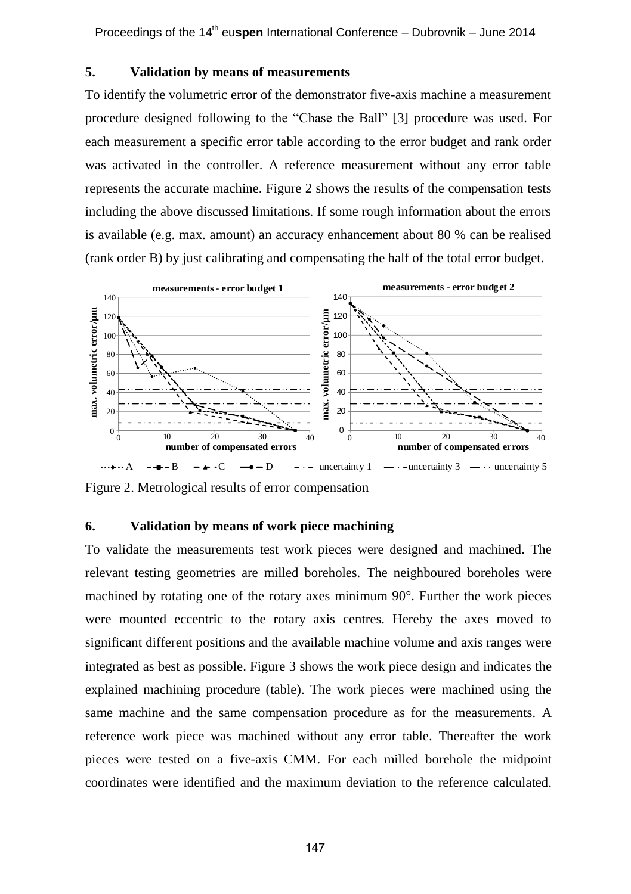#### **5. Validation by means of measurements**

To identify the volumetric error of the demonstrator five-axis machine a measurement procedure designed following to the "Chase the Ball" [3] procedure was used. For each measurement a specific error table according to the error budget and rank order was activated in the controller. A reference measurement without any error table represents the accurate machine. Figure 2 shows the results of the compensation tests including the above discussed limitations. If some rough information about the errors is available (e.g. max. amount) an accuracy enhancement about 80 % can be realised (rank order B) by just calibrating and compensating the half of the total error budget.



Figure 2. Metrological results of error compensation

#### **6. Validation by means of work piece machining**

To validate the measurements test work pieces were designed and machined. The relevant testing geometries are milled boreholes. The neighboured boreholes were machined by rotating one of the rotary axes minimum 90°. Further the work pieces were mounted eccentric to the rotary axis centres. Hereby the axes moved to significant different positions and the available machine volume and axis ranges were integrated as best as possible. Figure 3 shows the work piece design and indicates the explained machining procedure (table). The work pieces were machined using the same machine and the same compensation procedure as for the measurements. A reference work piece was machined without any error table. Thereafter the work pieces were tested on a five-axis CMM. For each milled borehole the midpoint coordinates were identified and the maximum deviation to the reference calculated.